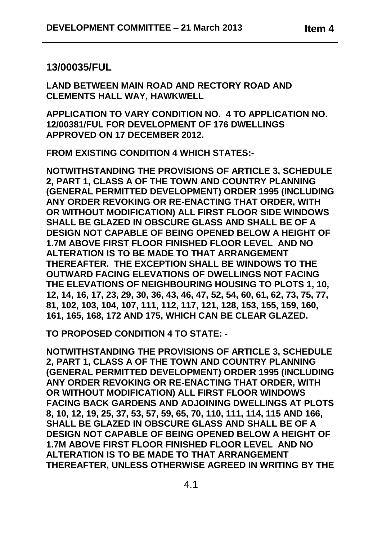# **13/00035/FUL**

**LAND BETWEEN MAIN ROAD AND RECTORY ROAD AND CLEMENTS HALL WAY, HAWKWELL**

**APPLICATION TO VARY CONDITION NO. 4 TO APPLICATION NO. 12/00381/FUL FOR DEVELOPMENT OF 176 DWELLINGS APPROVED ON 17 DECEMBER 2012.**

**FROM EXISTING CONDITION 4 WHICH STATES:-**

**NOTWITHSTANDING THE PROVISIONS OF ARTICLE 3, SCHEDULE 2, PART 1, CLASS A OF THE TOWN AND COUNTRY PLANNING (GENERAL PERMITTED DEVELOPMENT) ORDER 1995 (INCLUDING ANY ORDER REVOKING OR RE-ENACTING THAT ORDER, WITH OR WITHOUT MODIFICATION) ALL FIRST FLOOR SIDE WINDOWS SHALL BE GLAZED IN OBSCURE GLASS AND SHALL BE OF A DESIGN NOT CAPABLE OF BEING OPENED BELOW A HEIGHT OF 1.7M ABOVE FIRST FLOOR FINISHED FLOOR LEVEL AND NO ALTERATION IS TO BE MADE TO THAT ARRANGEMENT THEREAFTER. THE EXCEPTION SHALL BE WINDOWS TO THE OUTWARD FACING ELEVATIONS OF DWELLINGS NOT FACING THE ELEVATIONS OF NEIGHBOURING HOUSING TO PLOTS 1, 10, 12, 14, 16, 17, 23, 29, 30, 36, 43, 46, 47, 52, 54, 60, 61, 62, 73, 75, 77, 81, 102, 103, 104, 107, 111, 112, 117, 121, 128, 153, 155, 159, 160, 161, 165, 168, 172 AND 175, WHICH CAN BE CLEAR GLAZED.** 

**TO PROPOSED CONDITION 4 TO STATE: -**

**NOTWITHSTANDING THE PROVISIONS OF ARTICLE 3, SCHEDULE 2, PART 1, CLASS A OF THE TOWN AND COUNTRY PLANNING (GENERAL PERMITTED DEVELOPMENT) ORDER 1995 (INCLUDING ANY ORDER REVOKING OR RE-ENACTING THAT ORDER, WITH OR WITHOUT MODIFICATION) ALL FIRST FLOOR WINDOWS FACING BACK GARDENS AND ADJOINING DWELLINGS AT PLOTS 8, 10, 12, 19, 25, 37, 53, 57, 59, 65, 70, 110, 111, 114, 115 AND 166, SHALL BE GLAZED IN OBSCURE GLASS AND SHALL BE OF A DESIGN NOT CAPABLE OF BEING OPENED BELOW A HEIGHT OF 1.7M ABOVE FIRST FLOOR FINISHED FLOOR LEVEL AND NO ALTERATION IS TO BE MADE TO THAT ARRANGEMENT THEREAFTER, UNLESS OTHERWISE AGREED IN WRITING BY THE**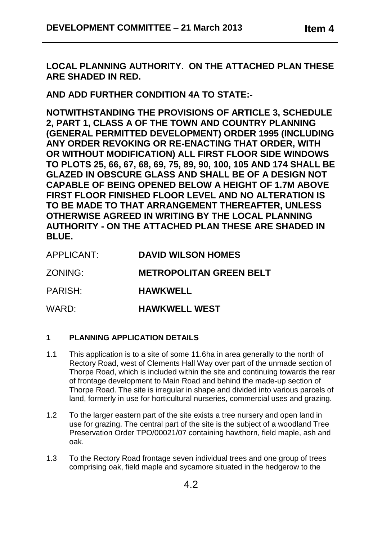**LOCAL PLANNING AUTHORITY. ON THE ATTACHED PLAN THESE ARE SHADED IN RED.**

**AND ADD FURTHER CONDITION 4A TO STATE:-**

**NOTWITHSTANDING THE PROVISIONS OF ARTICLE 3, SCHEDULE 2, PART 1, CLASS A OF THE TOWN AND COUNTRY PLANNING (GENERAL PERMITTED DEVELOPMENT) ORDER 1995 (INCLUDING ANY ORDER REVOKING OR RE-ENACTING THAT ORDER, WITH OR WITHOUT MODIFICATION) ALL FIRST FLOOR SIDE WINDOWS TO PLOTS 25, 66, 67, 68, 69, 75, 89, 90, 100, 105 AND 174 SHALL BE GLAZED IN OBSCURE GLASS AND SHALL BE OF A DESIGN NOT CAPABLE OF BEING OPENED BELOW A HEIGHT OF 1.7M ABOVE FIRST FLOOR FINISHED FLOOR LEVEL AND NO ALTERATION IS TO BE MADE TO THAT ARRANGEMENT THEREAFTER, UNLESS OTHERWISE AGREED IN WRITING BY THE LOCAL PLANNING AUTHORITY - ON THE ATTACHED PLAN THESE ARE SHADED IN BLUE.**

| APPLICANT: | <b>DAVID WILSON HOMES</b>      |
|------------|--------------------------------|
| ZONING:    | <b>METROPOLITAN GREEN BELT</b> |
| PARISH:    | <b>HAWKWELL</b>                |
| WARD:      | <b>HAWKWELL WEST</b>           |

# **1 PLANNING APPLICATION DETAILS**

- 1.1 This application is to a site of some 11.6ha in area generally to the north of Rectory Road, west of Clements Hall Way over part of the unmade section of Thorpe Road, which is included within the site and continuing towards the rear of frontage development to Main Road and behind the made-up section of Thorpe Road. The site is irregular in shape and divided into various parcels of land, formerly in use for horticultural nurseries, commercial uses and grazing.
- 1.2 To the larger eastern part of the site exists a tree nursery and open land in use for grazing. The central part of the site is the subject of a woodland Tree Preservation Order TPO/00021/07 containing hawthorn, field maple, ash and oak.
- 1.3 To the Rectory Road frontage seven individual trees and one group of trees comprising oak, field maple and sycamore situated in the hedgerow to the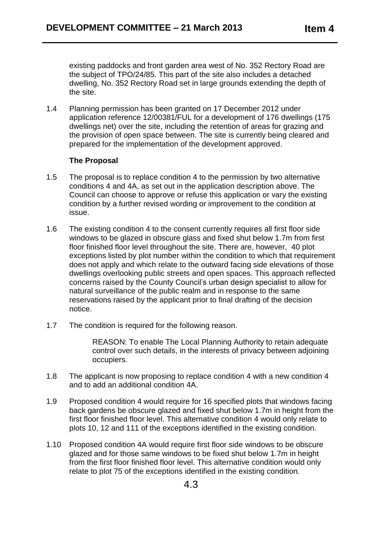existing paddocks and front garden area west of No. 352 Rectory Road are the subject of TPO/24/85. This part of the site also includes a detached dwelling, No. 352 Rectory Road set in large grounds extending the depth of the site.

1.4 Planning permission has been granted on 17 December 2012 under application reference 12/00381/FUL for a development of 176 dwellings (175 dwellings net) over the site, including the retention of areas for grazing and the provision of open space between. The site is currently being cleared and prepared for the implementation of the development approved.

#### **The Proposal**

- 1.5 The proposal is to replace condition 4 to the permission by two alternative conditions 4 and 4A, as set out in the application description above. The Council can choose to approve or refuse this application or vary the existing condition by a further revised wording or improvement to the condition at issue.
- 1.6 The existing condition 4 to the consent currently requires all first floor side windows to be glazed in obscure glass and fixed shut below 1.7m from first floor finished floor level throughout the site. There are, however, 40 plot exceptions listed by plot number within the condition to which that requirement does not apply and which relate to the outward facing side elevations of those dwellings overlooking public streets and open spaces. This approach reflected concerns raised by the County Council's urban design specialist to allow for natural surveillance of the public realm and in response to the same reservations raised by the applicant prior to final drafting of the decision notice.
- 1.7 The condition is required for the following reason.

REASON: To enable The Local Planning Authority to retain adequate control over such details, in the interests of privacy between adjoining occupiers.

- 1.8 The applicant is now proposing to replace condition 4 with a new condition 4 and to add an additional condition 4A.
- 1.9 Proposed condition 4 would require for 16 specified plots that windows facing back gardens be obscure glazed and fixed shut below 1.7m in height from the first floor finished floor level. This alternative condition 4 would only relate to plots 10, 12 and 111 of the exceptions identified in the existing condition.
- 1.10 Proposed condition 4A would require first floor side windows to be obscure glazed and for those same windows to be fixed shut below 1.7m in height from the first floor finished floor level. This alternative condition would only relate to plot 75 of the exceptions identified in the existing condition.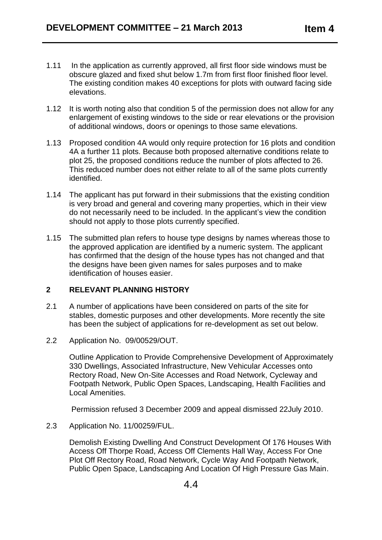- 1.11 In the application as currently approved, all first floor side windows must be obscure glazed and fixed shut below 1.7m from first floor finished floor level. The existing condition makes 40 exceptions for plots with outward facing side elevations.
- 1.12 It is worth noting also that condition 5 of the permission does not allow for any enlargement of existing windows to the side or rear elevations or the provision of additional windows, doors or openings to those same elevations.
- 1.13 Proposed condition 4A would only require protection for 16 plots and condition 4A a further 11 plots. Because both proposed alternative conditions relate to plot 25, the proposed conditions reduce the number of plots affected to 26. This reduced number does not either relate to all of the same plots currently identified.
- 1.14 The applicant has put forward in their submissions that the existing condition is very broad and general and covering many properties, which in their view do not necessarily need to be included. In the applicant's view the condition should not apply to those plots currently specified.
- 1.15 The submitted plan refers to house type designs by names whereas those to the approved application are identified by a numeric system. The applicant has confirmed that the design of the house types has not changed and that the designs have been given names for sales purposes and to make identification of houses easier.

### **2 RELEVANT PLANNING HISTORY**

- 2.1 A number of applications have been considered on parts of the site for stables, domestic purposes and other developments. More recently the site has been the subject of applications for re-development as set out below.
- 2.2 Application No. 09/00529/OUT.

Outline Application to Provide Comprehensive Development of Approximately 330 Dwellings, Associated Infrastructure, New Vehicular Accesses onto Rectory Road, New On-Site Accesses and Road Network, Cycleway and Footpath Network, Public Open Spaces, Landscaping, Health Facilities and Local Amenities.

Permission refused 3 December 2009 and appeal dismissed 22July 2010.

2.3 Application No. 11/00259/FUL.

Demolish Existing Dwelling And Construct Development Of 176 Houses With Access Off Thorpe Road, Access Off Clements Hall Way, Access For One Plot Off Rectory Road, Road Network, Cycle Way And Footpath Network, Public Open Space, Landscaping And Location Of High Pressure Gas Main.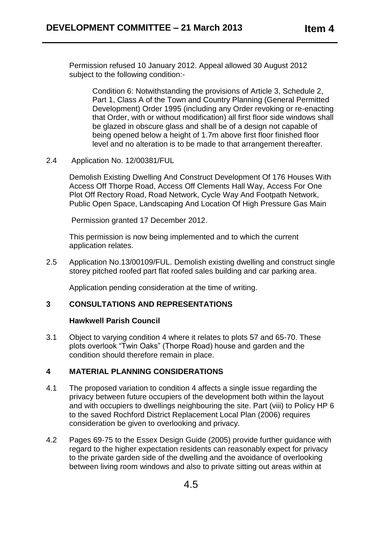Permission refused 10 January 2012. Appeal allowed 30 August 2012 subject to the following condition:-

Condition 6: Notwithstanding the provisions of Article 3, Schedule 2, Part 1, Class A of the Town and Country Planning (General Permitted Development) Order 1995 (including any Order revoking or re-enacting that Order, with or without modification) all first floor side windows shall be glazed in obscure glass and shall be of a design not capable of being opened below a height of 1.7m above first floor finished floor level and no alteration is to be made to that arrangement thereafter.

2.4 Application No. 12/00381/FUL

Demolish Existing Dwelling And Construct Development Of 176 Houses With Access Off Thorpe Road, Access Off Clements Hall Way, Access For One Plot Off Rectory Road, Road Network, Cycle Way And Footpath Network, Public Open Space, Landscaping And Location Of High Pressure Gas Main

Permission granted 17 December 2012.

This permission is now being implemented and to which the current application relates.

2.5 Application No.13/00109/FUL. Demolish existing dwelling and construct single storey pitched roofed part flat roofed sales building and car parking area.

Application pending consideration at the time of writing.

### **3 CONSULTATIONS AND REPRESENTATIONS**

#### **Hawkwell Parish Council**

3.1 Object to varying condition 4 where it relates to plots 57 and 65-70. These plots overlook "Twin Oaks" (Thorpe Road) house and garden and the condition should therefore remain in place.

### **4 MATERIAL PLANNING CONSIDERATIONS**

- 4.1 The proposed variation to condition 4 affects a single issue regarding the privacy between future occupiers of the development both within the layout and with occupiers to dwellings neighbouring the site. Part (viii) to Policy HP 6 to the saved Rochford District Replacement Local Plan (2006) requires consideration be given to overlooking and privacy.
- 4.2 Pages 69-75 to the Essex Design Guide (2005) provide further guidance with regard to the higher expectation residents can reasonably expect for privacy to the private garden side of the dwelling and the avoidance of overlooking between living room windows and also to private sitting out areas within at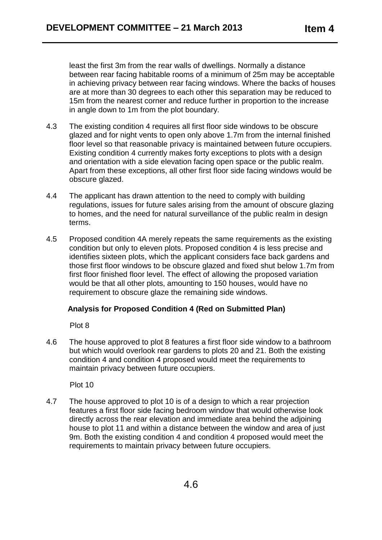least the first 3m from the rear walls of dwellings. Normally a distance between rear facing habitable rooms of a minimum of 25m may be acceptable in achieving privacy between rear facing windows. Where the backs of houses are at more than 30 degrees to each other this separation may be reduced to 15m from the nearest corner and reduce further in proportion to the increase in angle down to 1m from the plot boundary.

- 4.3 The existing condition 4 requires all first floor side windows to be obscure glazed and for night vents to open only above 1.7m from the internal finished floor level so that reasonable privacy is maintained between future occupiers. Existing condition 4 currently makes forty exceptions to plots with a design and orientation with a side elevation facing open space or the public realm. Apart from these exceptions, all other first floor side facing windows would be obscure glazed.
- 4.4 The applicant has drawn attention to the need to comply with building regulations, issues for future sales arising from the amount of obscure glazing to homes, and the need for natural surveillance of the public realm in design terms.
- 4.5 Proposed condition 4A merely repeats the same requirements as the existing condition but only to eleven plots. Proposed condition 4 is less precise and identifies sixteen plots, which the applicant considers face back gardens and those first floor windows to be obscure glazed and fixed shut below 1.7m from first floor finished floor level. The effect of allowing the proposed variation would be that all other plots, amounting to 150 houses, would have no requirement to obscure glaze the remaining side windows.

### **Analysis for Proposed Condition 4 (Red on Submitted Plan)**

Plot 8

4.6 The house approved to plot 8 features a first floor side window to a bathroom but which would overlook rear gardens to plots 20 and 21. Both the existing condition 4 and condition 4 proposed would meet the requirements to maintain privacy between future occupiers.

Plot 10

4.7 The house approved to plot 10 is of a design to which a rear projection features a first floor side facing bedroom window that would otherwise look directly across the rear elevation and immediate area behind the adjoining house to plot 11 and within a distance between the window and area of just 9m. Both the existing condition 4 and condition 4 proposed would meet the requirements to maintain privacy between future occupiers.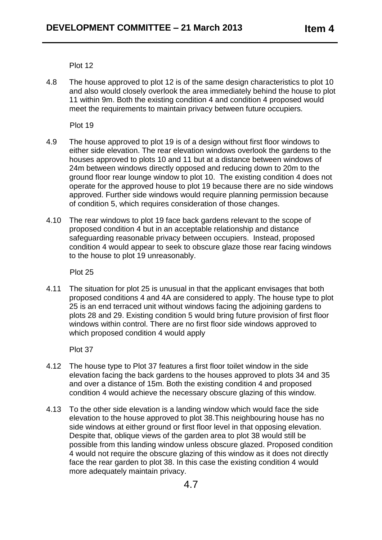4.8 The house approved to plot 12 is of the same design characteristics to plot 10 and also would closely overlook the area immediately behind the house to plot 11 within 9m. Both the existing condition 4 and condition 4 proposed would meet the requirements to maintain privacy between future occupiers.

Plot 19

- 4.9 The house approved to plot 19 is of a design without first floor windows to either side elevation. The rear elevation windows overlook the gardens to the houses approved to plots 10 and 11 but at a distance between windows of 24m between windows directly opposed and reducing down to 20m to the ground floor rear lounge window to plot 10. The existing condition 4 does not operate for the approved house to plot 19 because there are no side windows approved. Further side windows would require planning permission because of condition 5, which requires consideration of those changes.
- 4.10 The rear windows to plot 19 face back gardens relevant to the scope of proposed condition 4 but in an acceptable relationship and distance safeguarding reasonable privacy between occupiers. Instead, proposed condition 4 would appear to seek to obscure glaze those rear facing windows to the house to plot 19 unreasonably.

Plot 25

4.11 The situation for plot 25 is unusual in that the applicant envisages that both proposed conditions 4 and 4A are considered to apply. The house type to plot 25 is an end terraced unit without windows facing the adjoining gardens to plots 28 and 29. Existing condition 5 would bring future provision of first floor windows within control. There are no first floor side windows approved to which proposed condition 4 would apply

Plot 37

- 4.12 The house type to Plot 37 features a first floor toilet window in the side elevation facing the back gardens to the houses approved to plots 34 and 35 and over a distance of 15m. Both the existing condition 4 and proposed condition 4 would achieve the necessary obscure glazing of this window.
- 4.13 To the other side elevation is a landing window which would face the side elevation to the house approved to plot 38.This neighbouring house has no side windows at either ground or first floor level in that opposing elevation. Despite that, oblique views of the garden area to plot 38 would still be possible from this landing window unless obscure glazed. Proposed condition 4 would not require the obscure glazing of this window as it does not directly face the rear garden to plot 38. In this case the existing condition 4 would more adequately maintain privacy.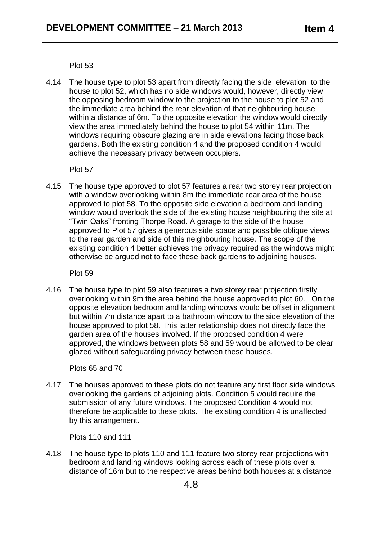4.14 The house type to plot 53 apart from directly facing the side elevation to the house to plot 52, which has no side windows would, however, directly view the opposing bedroom window to the projection to the house to plot 52 and the immediate area behind the rear elevation of that neighbouring house within a distance of 6m. To the opposite elevation the window would directly view the area immediately behind the house to plot 54 within 11m. The windows requiring obscure glazing are in side elevations facing those back gardens. Both the existing condition 4 and the proposed condition 4 would achieve the necessary privacy between occupiers.

Plot 57

4.15 The house type approved to plot 57 features a rear two storey rear projection with a window overlooking within 8m the immediate rear area of the house approved to plot 58. To the opposite side elevation a bedroom and landing window would overlook the side of the existing house neighbouring the site at "Twin Oaks" fronting Thorpe Road. A garage to the side of the house approved to Plot 57 gives a generous side space and possible oblique views to the rear garden and side of this neighbouring house. The scope of the existing condition 4 better achieves the privacy required as the windows might otherwise be argued not to face these back gardens to adjoining houses.

Plot 59

4.16 The house type to plot 59 also features a two storey rear projection firstly overlooking within 9m the area behind the house approved to plot 60. On the opposite elevation bedroom and landing windows would be offset in alignment but within 7m distance apart to a bathroom window to the side elevation of the house approved to plot 58. This latter relationship does not directly face the garden area of the houses involved. If the proposed condition 4 were approved, the windows between plots 58 and 59 would be allowed to be clear glazed without safeguarding privacy between these houses.

Plots 65 and 70

4.17 The houses approved to these plots do not feature any first floor side windows overlooking the gardens of adjoining plots. Condition 5 would require the submission of any future windows. The proposed Condition 4 would not therefore be applicable to these plots. The existing condition 4 is unaffected by this arrangement.

Plots 110 and 111

4.18 The house type to plots 110 and 111 feature two storey rear projections with bedroom and landing windows looking across each of these plots over a distance of 16m but to the respective areas behind both houses at a distance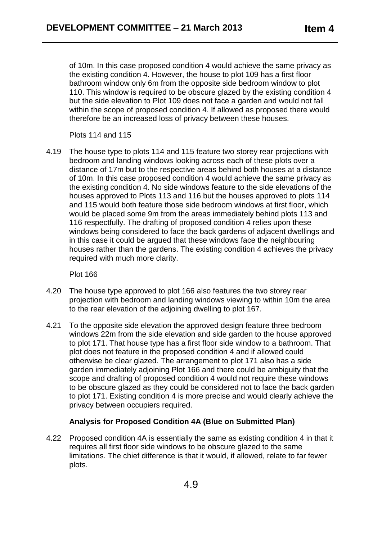of 10m. In this case proposed condition 4 would achieve the same privacy as the existing condition 4. However, the house to plot 109 has a first floor bathroom window only 6m from the opposite side bedroom window to plot 110. This window is required to be obscure glazed by the existing condition 4 but the side elevation to Plot 109 does not face a garden and would not fall within the scope of proposed condition 4. If allowed as proposed there would therefore be an increased loss of privacy between these houses.

Plots 114 and 115

4.19 The house type to plots 114 and 115 feature two storey rear projections with bedroom and landing windows looking across each of these plots over a distance of 17m but to the respective areas behind both houses at a distance of 10m. In this case proposed condition 4 would achieve the same privacy as the existing condition 4. No side windows feature to the side elevations of the houses approved to Plots 113 and 116 but the houses approved to plots 114 and 115 would both feature those side bedroom windows at first floor, which would be placed some 9m from the areas immediately behind plots 113 and 116 respectfully. The drafting of proposed condition 4 relies upon these windows being considered to face the back gardens of adjacent dwellings and in this case it could be argued that these windows face the neighbouring houses rather than the gardens. The existing condition 4 achieves the privacy required with much more clarity.

Plot 166

- 4.20 The house type approved to plot 166 also features the two storey rear projection with bedroom and landing windows viewing to within 10m the area to the rear elevation of the adjoining dwelling to plot 167.
- 4.21 To the opposite side elevation the approved design feature three bedroom windows 22m from the side elevation and side garden to the house approved to plot 171. That house type has a first floor side window to a bathroom. That plot does not feature in the proposed condition 4 and if allowed could otherwise be clear glazed. The arrangement to plot 171 also has a side garden immediately adjoining Plot 166 and there could be ambiguity that the scope and drafting of proposed condition 4 would not require these windows to be obscure glazed as they could be considered not to face the back garden to plot 171. Existing condition 4 is more precise and would clearly achieve the privacy between occupiers required.

## **Analysis for Proposed Condition 4A (Blue on Submitted Plan)**

4.22 Proposed condition 4A is essentially the same as existing condition 4 in that it requires all first floor side windows to be obscure glazed to the same limitations. The chief difference is that it would, if allowed, relate to far fewer plots.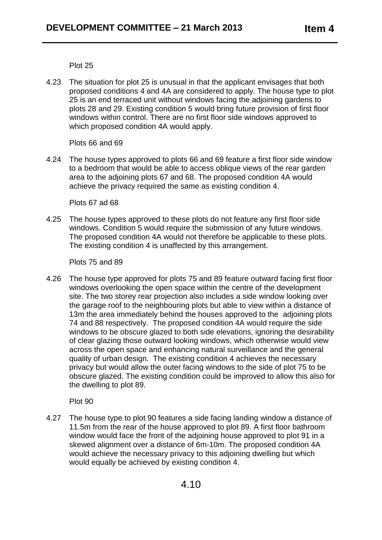4.23 The situation for plot 25 is unusual in that the applicant envisages that both proposed conditions 4 and 4A are considered to apply. The house type to plot 25 is an end terraced unit without windows facing the adjoining gardens to plots 28 and 29. Existing condition 5 would bring future provision of first floor windows within control. There are no first floor side windows approved to which proposed condition 4A would apply.

Plots 66 and 69

4.24 The house types approved to plots 66 and 69 feature a first floor side window to a bedroom that would be able to access oblique views of the rear garden area to the adjoining plots 67 and 68. The proposed condition 4A would achieve the privacy required the same as existing condition 4.

## Plots 67 ad 68

4.25 The house types approved to these plots do not feature any first floor side windows. Condition 5 would require the submission of any future windows. The proposed condition 4A would not therefore be applicable to these plots. The existing condition 4 is unaffected by this arrangement.

Plots 75 and 89

4.26 The house type approved for plots 75 and 89 feature outward facing first floor windows overlooking the open space within the centre of the development site. The two storey rear projection also includes a side window looking over the garage roof to the neighbouring plots but able to view within a distance of 13m the area immediately behind the houses approved to the adjoining plots 74 and 88 respectively. The proposed condition 4A would require the side windows to be obscure glazed to both side elevations, ignoring the desirability of clear glazing those outward looking windows, which otherwise would view across the open space and enhancing natural surveillance and the general quality of urban design. The existing condition 4 achieves the necessary privacy but would allow the outer facing windows to the side of plot 75 to be obscure glazed. The existing condition could be improved to allow this also for the dwelling to plot 89.

Plot 90

4.27 The house type to plot 90 features a side facing landing window a distance of 11.5m from the rear of the house approved to plot 89. A first floor bathroom window would face the front of the adjoining house approved to plot 91 in a skewed alignment over a distance of 6m-10m. The proposed condition 4A would achieve the necessary privacy to this adjoining dwelling but which would equally be achieved by existing condition 4.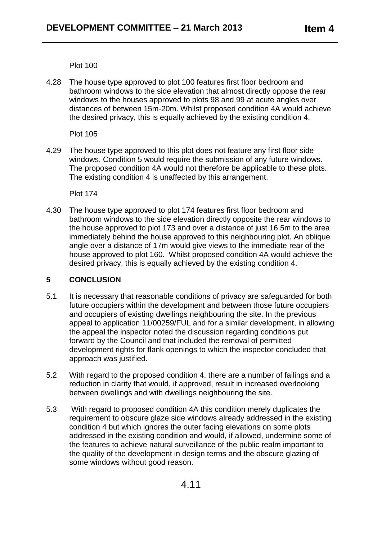4.28 The house type approved to plot 100 features first floor bedroom and bathroom windows to the side elevation that almost directly oppose the rear windows to the houses approved to plots 98 and 99 at acute angles over distances of between 15m-20m. Whilst proposed condition 4A would achieve the desired privacy, this is equally achieved by the existing condition 4.

Plot 105

4.29 The house type approved to this plot does not feature any first floor side windows. Condition 5 would require the submission of any future windows. The proposed condition 4A would not therefore be applicable to these plots. The existing condition 4 is unaffected by this arrangement.

Plot 174

4.30 The house type approved to plot 174 features first floor bedroom and bathroom windows to the side elevation directly opposite the rear windows to the house approved to plot 173 and over a distance of just 16.5m to the area immediately behind the house approved to this neighbouring plot. An oblique angle over a distance of 17m would give views to the immediate rear of the house approved to plot 160. Whilst proposed condition 4A would achieve the desired privacy, this is equally achieved by the existing condition 4.

## **5 CONCLUSION**

- 5.1 It is necessary that reasonable conditions of privacy are safeguarded for both future occupiers within the development and between those future occupiers and occupiers of existing dwellings neighbouring the site. In the previous appeal to application 11/00259/FUL and for a similar development, in allowing the appeal the inspector noted the discussion regarding conditions put forward by the Council and that included the removal of permitted development rights for flank openings to which the inspector concluded that approach was justified.
- 5.2 With regard to the proposed condition 4, there are a number of failings and a reduction in clarity that would, if approved, result in increased overlooking between dwellings and with dwellings neighbouring the site.
- 5.3 With regard to proposed condition 4A this condition merely duplicates the requirement to obscure glaze side windows already addressed in the existing condition 4 but which ignores the outer facing elevations on some plots addressed in the existing condition and would, if allowed, undermine some of the features to achieve natural surveillance of the public realm important to the quality of the development in design terms and the obscure glazing of some windows without good reason.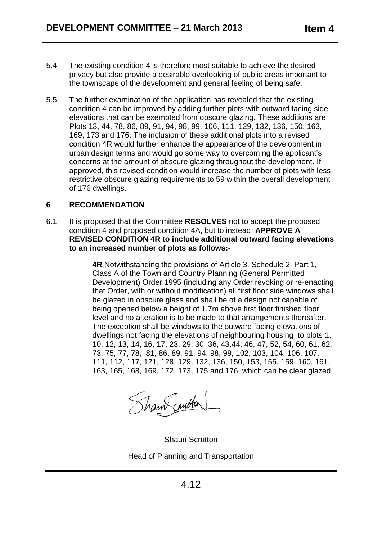- 5.4 The existing condition 4 is therefore most suitable to achieve the desired privacy but also provide a desirable overlooking of public areas important to the townscape of the development and general feeling of being safe.
- 5.5 The further examination of the application has revealed that the existing condition 4 can be improved by adding further plots with outward facing side elevations that can be exempted from obscure glazing. These additions are Plots 13, 44, 78, 86, 89, 91, 94, 98, 99, 106, 111, 129, 132, 136, 150, 163, 169, 173 and 176. The inclusion of these additional plots into a revised condition 4R would further enhance the appearance of the development in urban design terms and would go some way to overcoming the applicant's concerns at the amount of obscure glazing throughout the development. If approved, this revised condition would increase the number of plots with less restrictive obscure glazing requirements to 59 within the overall development of 176 dwellings.

## **6 RECOMMENDATION**

6.1 It is proposed that the Committee **RESOLVES** not to accept the proposed condition 4 and proposed condition 4A, but to instead **APPROVE A REVISED CONDITION 4R to include additional outward facing elevations to an increased number of plots as follows:-**

> **4R** Notwithstanding the provisions of Article 3, Schedule 2, Part 1, Class A of the Town and Country Planning (General Permitted Development) Order 1995 (including any Order revoking or re-enacting that Order, with or without modification) all first floor side windows shall be glazed in obscure glass and shall be of a design not capable of being opened below a height of 1.7m above first floor finished floor level and no alteration is to be made to that arrangements thereafter. The exception shall be windows to the outward facing elevations of dwellings not facing the elevations of neighbouring housing to plots 1, 10, 12, 13, 14, 16, 17, 23, 29, 30, 36, 43,44, 46, 47, 52, 54, 60, 61, 62, 73, 75, 77, 78, 81, 86, 89, 91, 94, 98, 99, 102, 103, 104, 106, 107, 111, 112, 117, 121, 128, 129, 132, 136, 150, 153, 155, 159, 160, 161, 163, 165, 168, 169, 172, 173, 175 and 176, which can be clear glazed.

Shaw curton

Shaun Scrutton

Head of Planning and Transportation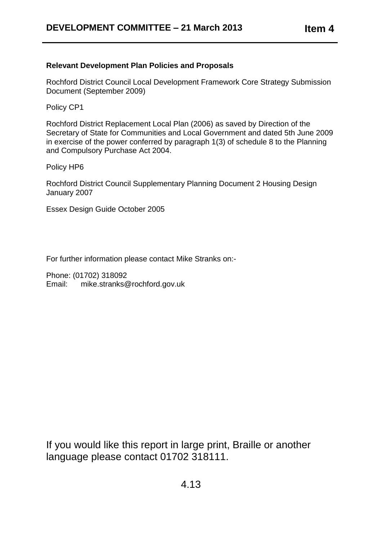## **Relevant Development Plan Policies and Proposals**

Rochford District Council Local Development Framework Core Strategy Submission Document (September 2009)

Policy CP1

Rochford District Replacement Local Plan (2006) as saved by Direction of the Secretary of State for Communities and Local Government and dated 5th June 2009 in exercise of the power conferred by paragraph 1(3) of schedule 8 to the Planning and Compulsory Purchase Act 2004.

Policy HP6

Rochford District Council Supplementary Planning Document 2 Housing Design January 2007

Essex Design Guide October 2005

For further information please contact Mike Stranks on:-

Phone: (01702) 318092 Email: mike.stranks@rochford.gov.uk

If you would like this report in large print, Braille or another language please contact 01702 318111.